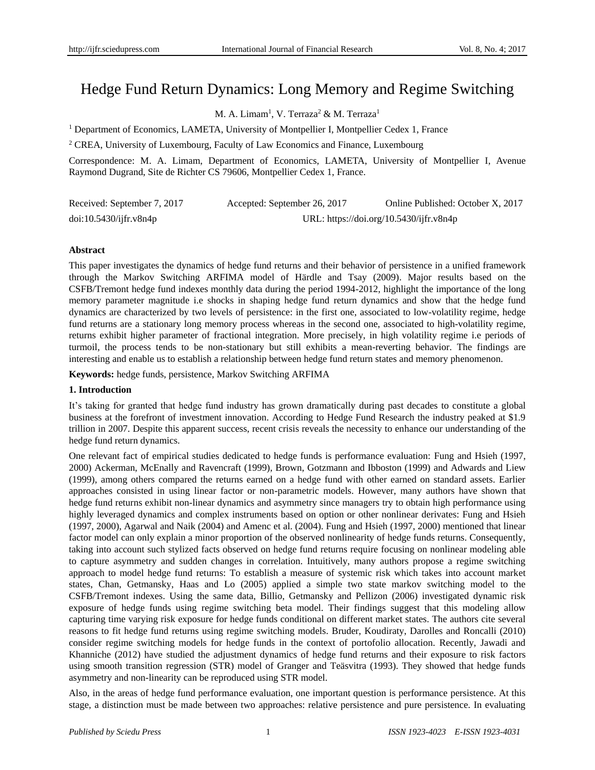# Hedge Fund Return Dynamics: Long Memory and Regime Switching

M. A. Limam<sup>1</sup>, V. Terraza<sup>2</sup> & M. Terraza<sup>1</sup>

<sup>1</sup> Department of Economics, LAMETA, University of Montpellier I, Montpellier Cedex 1, France

<sup>2</sup> CREA, University of Luxembourg, Faculty of Law Economics and Finance, Luxembourg

Correspondence: M. A. Limam, Department of Economics, LAMETA, University of Montpellier I, Avenue Raymond Dugrand, Site de Richter CS 79606, Montpellier Cedex 1, France.

| Received: September 7, 2017 | Accepted: September 26, 2017 | Online Published: October X, 2017       |
|-----------------------------|------------------------------|-----------------------------------------|
| doi:10.5430/ijfr.v8n4p      |                              | URL: https://doi.org/10.5430/ijfr.v8n4p |

## **Abstract**

This paper investigates the dynamics of hedge fund returns and their behavior of persistence in a unified framework through the Markov Switching ARFIMA model of Härdle and Tsay (2009). Major results based on the CSFB/Tremont hedge fund indexes monthly data during the period 1994-2012, highlight the importance of the long memory parameter magnitude i.e shocks in shaping hedge fund return dynamics and show that the hedge fund dynamics are characterized by two levels of persistence: in the first one, associated to low-volatility regime, hedge fund returns are a stationary long memory process whereas in the second one, associated to high-volatility regime, returns exhibit higher parameter of fractional integration. More precisely, in high volatility regime i.e periods of turmoil, the process tends to be non-stationary but still exhibits a mean-reverting behavior. The findings are interesting and enable us to establish a relationship between hedge fund return states and memory phenomenon.

**Keywords:** hedge funds, persistence, Markov Switching ARFIMA

## **1. Introduction**

It's taking for granted that hedge fund industry has grown dramatically during past decades to constitute a global business at the forefront of investment innovation. According to Hedge Fund Research the industry peaked at \$1.9 trillion in 2007. Despite this apparent success, recent crisis reveals the necessity to enhance our understanding of the hedge fund return dynamics.

One relevant fact of empirical studies dedicated to hedge funds is performance evaluation: Fung and Hsieh (1997, 2000) Ackerman, McEnally and Ravencraft (1999), Brown, Gotzmann and Ibboston (1999) and Adwards and Liew (1999), among others compared the returns earned on a hedge fund with other earned on standard assets. Earlier approaches consisted in using linear factor or non-parametric models. However, many authors have shown that hedge fund returns exhibit non-linear dynamics and asymmetry since managers try to obtain high performance using highly leveraged dynamics and complex instruments based on option or other nonlinear derivates: Fung and Hsieh (1997, 2000), Agarwal and Naik (2004) and Amenc et al. (2004). Fung and Hsieh (1997, 2000) mentioned that linear factor model can only explain a minor proportion of the observed nonlinearity of hedge funds returns. Consequently, taking into account such stylized facts observed on hedge fund returns require focusing on nonlinear modeling able to capture asymmetry and sudden changes in correlation. Intuitively, many authors propose a regime switching approach to model hedge fund returns: To establish a measure of systemic risk which takes into account market states, Chan, Getmansky, Haas and Lo (2005) applied a simple two state markov switching model to the CSFB/Tremont indexes. Using the same data, Billio, Getmansky and Pellizon (2006) investigated dynamic risk exposure of hedge funds using regime switching beta model. Their findings suggest that this modeling allow capturing time varying risk exposure for hedge funds conditional on different market states. The authors cite several reasons to fit hedge fund returns using regime switching models. Bruder, Koudiraty, Darolles and Roncalli (2010) consider regime switching models for hedge funds in the context of portofolio allocation. Recently, Jawadi and Khanniche (2012) have studied the adjustment dynamics of hedge fund returns and their exposure to risk factors using smooth transition regression (STR) model of Granger and Teäsvitra (1993). They showed that hedge funds asymmetry and non-linearity can be reproduced using STR model.

Also, in the areas of hedge fund performance evaluation, one important question is performance persistence. At this stage, a distinction must be made between two approaches: relative persistence and pure persistence. In evaluating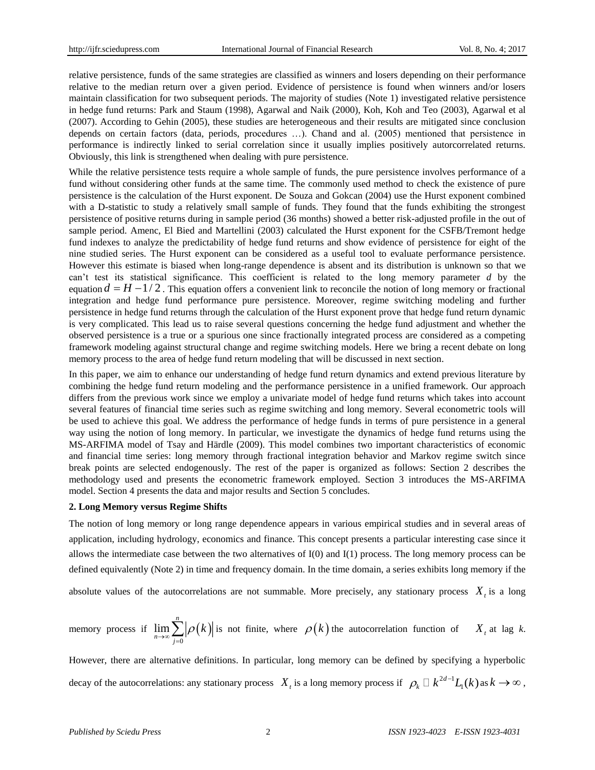relative persistence, funds of the same strategies are classified as winners and losers depending on their performance relative to the median return over a given period. Evidence of persistence is found when winners and/or losers maintain classification for two subsequent periods. The majority of studies (Note 1) investigated relative persistence in hedge fund returns: Park and Staum (1998), Agarwal and Naik (2000), Koh, Koh and Teo (2003), Agarwal et al (2007). According to Gehin (2005), these studies are heterogeneous and their results are mitigated since conclusion depends on certain factors (data, periods, procedures …). Chand and al. (2005) mentioned that persistence in performance is indirectly linked to serial correlation since it usually implies positively autorcorrelated returns. Obviously, this link is strengthened when dealing with pure persistence.

While the relative persistence tests require a whole sample of funds, the pure persistence involves performance of a fund without considering other funds at the same time. The commonly used method to check the existence of pure persistence is the calculation of the Hurst exponent. De Souza and Gokcan (2004) use the Hurst exponent combined with a D-statistic to study a relatively small sample of funds. They found that the funds exhibiting the strongest persistence of positive returns during in sample period (36 months) showed a better risk-adjusted profile in the out of sample period. Amenc, El Bied and Martellini (2003) calculated the Hurst exponent for the CSFB/Tremont hedge fund indexes to analyze the predictability of hedge fund returns and show evidence of persistence for eight of the nine studied series. The Hurst exponent can be considered as a useful tool to evaluate performance persistence. However this estimate is biased when long-range dependence is absent and its distribution is unknown so that we can't test its statistical significance. This coefficient is related to the long memory parameter *d* by the equation  $d = H - 1/2$ . This equation offers a convenient link to reconcile the notion of long memory or fractional integration and hedge fund performance pure persistence. Moreover, regime switching modeling and further persistence in hedge fund returns through the calculation of the Hurst exponent prove that hedge fund return dynamic is very complicated. This lead us to raise several questions concerning the hedge fund adjustment and whether the observed persistence is a true or a spurious one since fractionally integrated process are considered as a competing framework modeling against structural change and regime switching models. Here we bring a recent debate on long memory process to the area of hedge fund return modeling that will be discussed in next section.

In this paper, we aim to enhance our understanding of hedge fund return dynamics and extend previous literature by combining the hedge fund return modeling and the performance persistence in a unified framework. Our approach differs from the previous work since we employ a univariate model of hedge fund returns which takes into account several features of financial time series such as regime switching and long memory. Several econometric tools will be used to achieve this goal. We address the performance of hedge funds in terms of pure persistence in a general way using the notion of long memory. In particular, we investigate the dynamics of hedge fund returns using the MS-ARFIMA model of Tsay and Härdle (2009). This model combines two important characteristics of economic and financial time series: long memory through fractional integration behavior and Markov regime switch since break points are selected endogenously. The rest of the paper is organized as follows: Section 2 describes the methodology used and presents the econometric framework employed. Section 3 introduces the MS-ARFIMA model. Section 4 presents the data and major results and Section 5 concludes.

### **2. Long Memory versus Regime Shifts**

The notion of long memory or long range dependence appears in various empirical studies and in several areas of application, including hydrology, economics and finance. This concept presents a particular interesting case since it allows the intermediate case between the two alternatives of I(0) and I(1) process. The long memory process can be defined equivalently (Note 2) in time and frequency domain. In the time domain, a series exhibits long memory if the

absolute values of the autocorrelations are not summable. More precisely, any stationary process  $X<sub>t</sub>$  is a long

memory process if 
$$
\lim_{n \to \infty} \sum_{j=0}^{n} |\rho(k)|
$$
 is not finite, where  $\rho(k)$  the autocorrelation function of  $X_t$  at lag k.

However, there are alternative definitions. In particular, long memory can be defined by specifying a hyperbolic decay of the autocorrelations: any stationary process  $X_t$  is a long memory process if  $\rho_k \Box k^{2d-1}$  $\rho_k \square k^{2d-1}L_1(k)$  as  $k \to \infty$ ,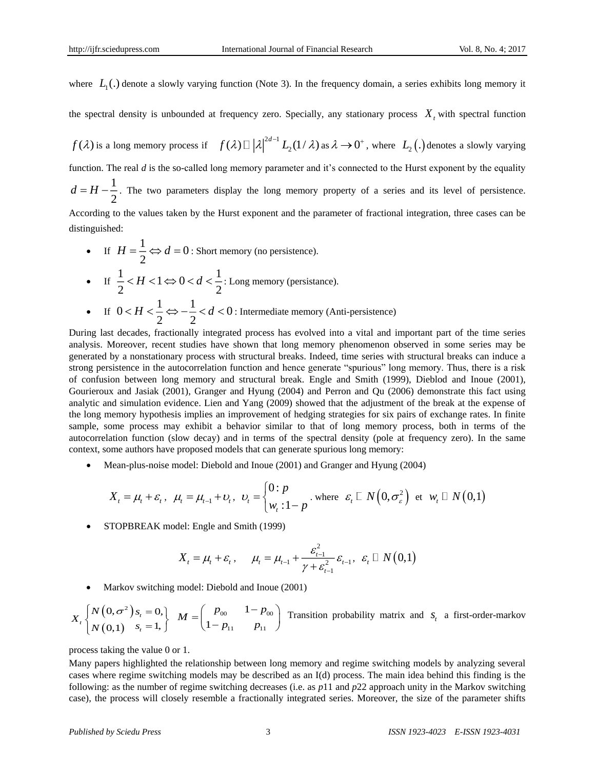where  $L_1(.)$  denote a slowly varying function (Note 3). In the frequency domain, a series exhibits long memory it

the spectral density is unbounded at frequency zero. Specially, any stationary process  $X_t$  with spectral function

 $f(\lambda)$  is a long memory process if  $f(\lambda) \Box |\lambda|^{2d-1}$  $f(\lambda) \Box \left| \lambda \right|^{2d-1} L_2(1/\lambda)$  as  $\lambda \to 0^+$ , where  $L_2(\lambda)$  denotes a slowly varying function. The real *d* is the so-called long memory parameter and it's connected to the Hurst exponent by the equality 1 2  $d = H - \frac{1}{2}$ . The two parameters display the long memory property of a series and its level of persistence. According to the values taken by the Hurst exponent and the parameter of fractional integration, three cases can be distinguished:

- If  $H = \frac{1}{2} \Leftrightarrow d = 0$ 2  $H = \frac{1}{2} \Leftrightarrow d = 0$ : Short memory (no persistence).
- If  $\frac{1}{2} < H < 1 \Leftrightarrow 0 < d < \frac{1}{2}$  $\frac{2}{2}$  < *H* < 1  $\Leftrightarrow$  0 < *d* <  $\frac{2}{2}$ : Long memory (persistance).
- If  $0 < H < \frac{1}{2} \Leftrightarrow -\frac{1}{2} < d < 0$  $2 < H < -\frac{1}{2} < d < 0$ : Intermediate memory (Anti-persistence)
- During last decades, fractionally integrated process has evolved into a vital and important part of the time series analysis. Moreover, recent studies have shown that long memory phenomenon observed in some series may be generated by a nonstationary process with structural breaks. Indeed, time series with structural breaks can induce a strong persistence in the autocorrelation function and hence generate "spurious" long memory. Thus, there is a risk of confusion between long memory and structural break. Engle and Smith (1999), Dieblod and Inoue (2001), Gourieroux and Jasiak (2001), Granger and Hyung (2004) and Perron and Qu (2006) demonstrate this fact using analytic and simulation evidence. Lien and Yang (2009) showed that the adjustment of the break at the expense of the long memory hypothesis implies an improvement of hedging strategies for six pairs of exchange rates. In finite sample, some process may exhibit a behavior similar to that of long memory process, both in terms of the autocorrelation function (slow decay) and in terms of the spectral density (pole at frequency zero). In the same context, some authors have proposed models that can generate spurious long memory:
	- Mean-plus-noise model: Diebold and Inoue (2001) and Granger and Hyung (2004)

$$
X_t = \mu_t + \varepsilon_t, \quad \mu_t = \mu_{t-1} + \nu_t, \quad \nu_t = \begin{cases} 0: p \\ w_t: 1-p \end{cases}.
$$
 where  $\varepsilon_t \square N(0, \sigma_{\varepsilon}^2)$  et  $w_t \square N(0, 1)$ 

STOPBREAK model: Engle and Smith (1999)

$$
X_{t} = \mu_{t} + \varepsilon_{t}, \quad \mu_{t} = \mu_{t-1} + \frac{\varepsilon_{t-1}^{2}}{\gamma + \varepsilon_{t-1}^{2}} \varepsilon_{t-1}, \varepsilon_{t} \Box N(0,1)
$$

Markov switching model: Diebold and Inoue (2001)

$$
X_{t}\begin{cases}N\left(0,\sigma^{2}\right)s_{t}=0,\\N\left(0,1\right) & s_{t}=1,\end{cases}M=\begin{pmatrix}p_{00} & 1-p_{00}\\1-p_{11} & p_{11}\end{pmatrix}
$$
 Transition probability matrix and  $s_{t}$  a first-order-markov

process taking the value 0 or 1.

Many papers highlighted the relationship between long memory and regime switching models by analyzing several cases where regime switching models may be described as an I(d) process. The main idea behind this finding is the following: as the number of regime switching decreases (i.e. as *p*11 and *p*22 approach unity in the Markov switching case), the process will closely resemble a fractionally integrated series. Moreover, the size of the parameter shifts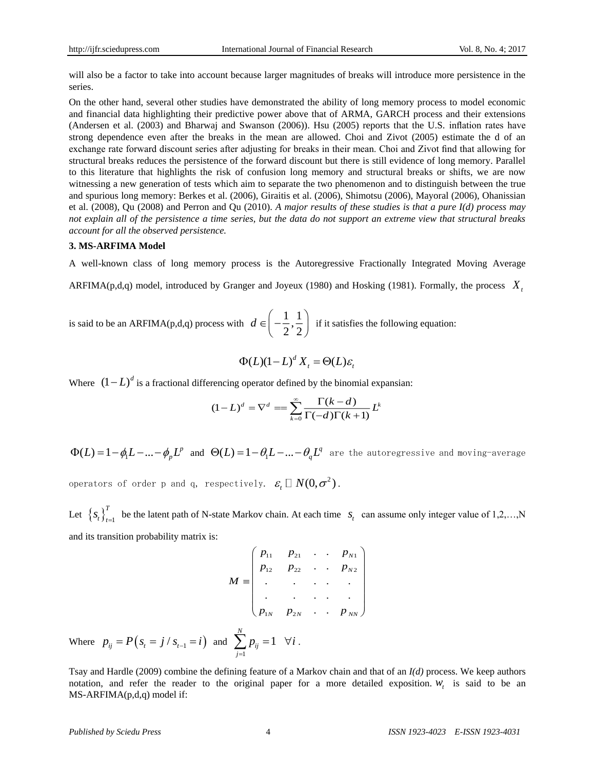will also be a factor to take into account because larger magnitudes of breaks will introduce more persistence in the series.

On the other hand, several other studies have demonstrated the ability of long memory process to model economic and financial data highlighting their predictive power above that of ARMA, GARCH process and their extensions (Andersen et al. (2003) and Bharwaj and Swanson (2006)). Hsu (2005) reports that the U.S. inflation rates have strong dependence even after the breaks in the mean are allowed. Choi and Zivot (2005) estimate the d of an exchange rate forward discount series after adjusting for breaks in their mean. Choi and Zivot find that allowing for structural breaks reduces the persistence of the forward discount but there is still evidence of long memory. Parallel to this literature that highlights the risk of confusion long memory and structural breaks or shifts, we are now witnessing a new generation of tests which aim to separate the two phenomenon and to distinguish between the true and spurious long memory: Berkes et al. (2006), Giraitis et al. (2006), Shimotsu (2006), Mayoral (2006), Ohanissian et al. (2008), Qu (2008) and Perron and Qu (2010). *A major results of these studies is that a pure I(d) process may not explain all of the persistence a time series, but the data do not support an extreme view that structural breaks account for all the observed persistence.*

### **3. MS-ARFIMA Model**

A well-known class of long memory process is the Autoregressive Fractionally Integrated Moving Average

ARFIMA(p,d,q) model, introduced by Granger and Joyeux (1980) and Hosking (1981). Formally, the process *Xt*

is said to be an ARFIMA(p,d,q) process with  $d \in \left(-\frac{1}{2}, \frac{1}{2}\right)$  $2^{\degree}2$  $d \in \left(-\frac{1}{2}, \frac{1}{2}\right)$  if it satisfies the following equation:

$$
\Phi(L)(1-L)^d X_t = \Theta(L)\varepsilon_t
$$

Where  $(1-L)^d$  is a fractional differencing operator defined by the binomial expansian:

$$
(1-L)^d = \nabla^d = \sum_{k=0}^{\infty} \frac{\Gamma(k-d)}{\Gamma(-d)\Gamma(k+1)} L^k
$$

 $\Phi(L) = 1 - \phi_1 L - ... - \phi_p L^p$  and  $\Theta(L) = 1 - \theta_1 L - ... - \theta_q L^q$  are the autoregressive and moving-average

operators of order p and q, respectively.  $\mathcal{E}_t \ \square \ N(0, \sigma^2)$ .

Let  $\left\{S_t\right\}_{t=1}^T$  $s_t \}_{t=1}^k$  be the latent path of N-state Markov chain. At each time  $s_t$  can assume only integer value of 1,2,..., N and its transition probability matrix is:

$$
M = \begin{pmatrix} p_{11} & p_{21} & \cdots & p_{N1} \\ p_{12} & p_{22} & \cdots & p_{N2} \\ \vdots & \vdots & \ddots & \vdots \\ p_{1N} & p_{2N} & \cdots & p_{NN} \end{pmatrix}
$$

Where  $p_{ij} = P(s_i = j / s_{i-1} = i)$  and 1 1 *N ij j*  $\sum_{i=1} P_{ij} = 1 \quad \forall i$ .

Tsay and Hardle (2009) combine the defining feature of a Markov chain and that of an *I(d)* process. We keep authors notation, and refer the reader to the original paper for a more detailed exposition.  $W_t$  is said to be an MS-ARFIMA(p,d,q) model if: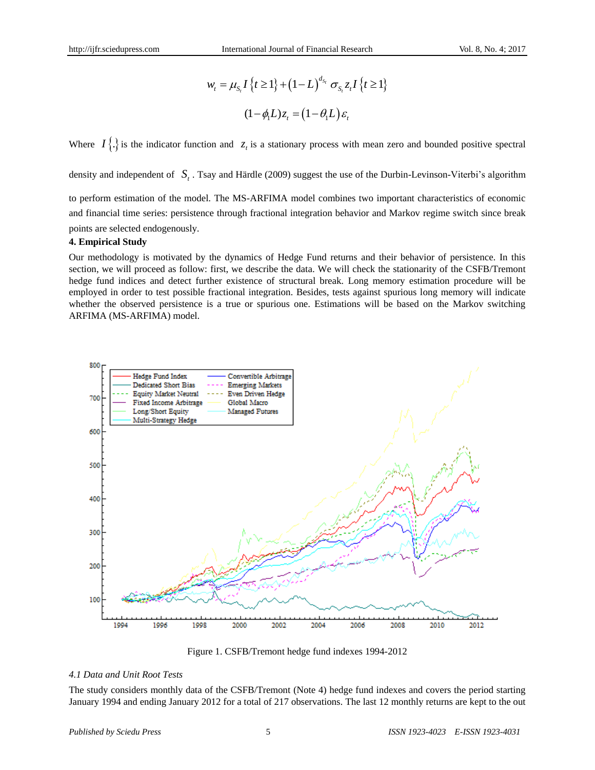$$
w_t = \mu_{S_t} I\left\{t \ge 1\right\} + \left(1 - L\right)^{d_{S_t}} \sigma_{S_t} z_t I\left\{t \ge 1\right\}
$$

$$
(1 - \phi_t L) z_t = \left(1 - \theta_t L\right) \varepsilon_t
$$

Where  $I\{\cdot\}$  is the indicator function and  $z<sub>t</sub>$  is a stationary process with mean zero and bounded positive spectral

density and independent of  $S_t$ . Tsay and Härdle (2009) suggest the use of the Durbin-Levinson-Viterbi's algorithm

to perform estimation of the model. The MS-ARFIMA model combines two important characteristics of economic and financial time series: persistence through fractional integration behavior and Markov regime switch since break points are selected endogenously.

## **4. Empirical Study**

Our methodology is motivated by the dynamics of Hedge Fund returns and their behavior of persistence. In this section, we will proceed as follow: first, we describe the data. We will check the stationarity of the CSFB/Tremont hedge fund indices and detect further existence of structural break. Long memory estimation procedure will be employed in order to test possible fractional integration. Besides, tests against spurious long memory will indicate whether the observed persistence is a true or spurious one. Estimations will be based on the Markov switching ARFIMA (MS-ARFIMA) model.



Figure 1. CSFB/Tremont hedge fund indexes 1994-2012

## *4.1 Data and Unit Root Tests*

The study considers monthly data of the CSFB/Tremont (Note 4) hedge fund indexes and covers the period starting January 1994 and ending January 2012 for a total of 217 observations. The last 12 monthly returns are kept to the out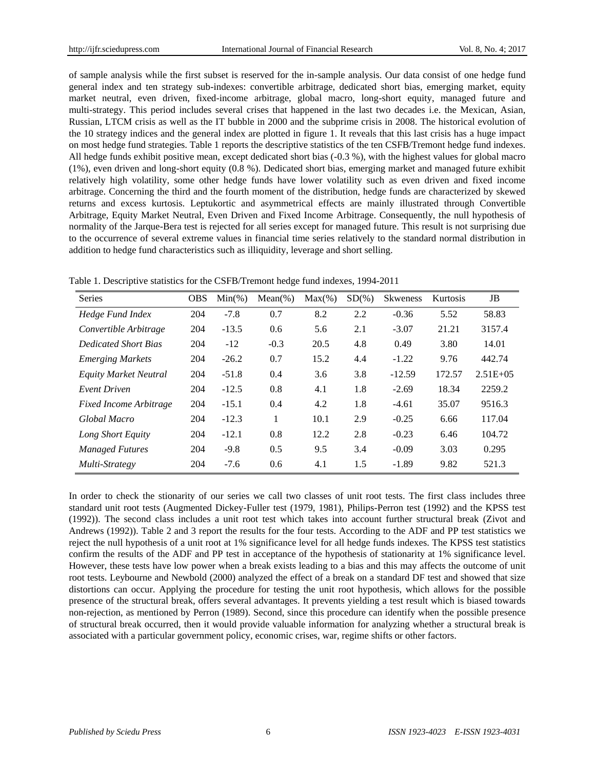of sample analysis while the first subset is reserved for the in-sample analysis. Our data consist of one hedge fund general index and ten strategy sub-indexes: convertible arbitrage, dedicated short bias, emerging market, equity market neutral, even driven, fixed-income arbitrage, global macro, long-short equity, managed future and multi-strategy. This period includes several crises that happened in the last two decades i.e. the Mexican, Asian, Russian, LTCM crisis as well as the IT bubble in 2000 and the subprime crisis in 2008. The historical evolution of the 10 strategy indices and the general index are plotted in figure 1. It reveals that this last crisis has a huge impact on most hedge fund strategies. Table 1 reports the descriptive statistics of the ten CSFB/Tremont hedge fund indexes. All hedge funds exhibit positive mean, except dedicated short bias (-0.3 %), with the highest values for global macro (1%), even driven and long-short equity (0.8 %). Dedicated short bias, emerging market and managed future exhibit relatively high volatility, some other hedge funds have lower volatility such as even driven and fixed income arbitrage. Concerning the third and the fourth moment of the distribution, hedge funds are characterized by skewed returns and excess kurtosis. Leptukortic and asymmetrical effects are mainly illustrated through Convertible Arbitrage, Equity Market Neutral, Even Driven and Fixed Income Arbitrage. Consequently, the null hypothesis of normality of the Jarque-Bera test is rejected for all series except for managed future. This result is not surprising due to the occurrence of several extreme values in financial time series relatively to the standard normal distribution in addition to hedge fund characteristics such as illiquidity, leverage and short selling.

|  | Table 1. Descriptive statistics for the CSFB/Tremont hedge fund indexes, 1994-2011 |  |  |  |
|--|------------------------------------------------------------------------------------|--|--|--|
|  |                                                                                    |  |  |  |

| <b>Series</b>                 | <b>OBS</b> | $Min(\% )$ | $Mean(\%)$ | $Max(\% )$ | $SD(\%)$ | <b>Skweness</b> | Kurtosis | JB            |
|-------------------------------|------------|------------|------------|------------|----------|-----------------|----------|---------------|
| Hedge Fund Index              | 204        | $-7.8$     | 0.7        | 8.2        | 2.2      | $-0.36$         | 5.52     | 58.83         |
| Convertible Arbitrage         | 204        | $-13.5$    | 0.6        | 5.6        | 2.1      | $-3.07$         | 21.21    | 3157.4        |
| <b>Dedicated Short Bias</b>   | 204        | $-12$      | $-0.3$     | 20.5       | 4.8      | 0.49            | 3.80     | 14.01         |
| <b>Emerging Markets</b>       | 204        | $-26.2$    | 0.7        | 15.2       | 4.4      | $-1.22$         | 9.76     | 442.74        |
| <b>Equity Market Neutral</b>  | 204        | $-51.8$    | 0.4        | 3.6        | 3.8      | $-12.59$        | 172.57   | $2.51E + 0.5$ |
| <b>Event Driven</b>           | 204        | $-12.5$    | 0.8        | 4.1        | 1.8      | $-2.69$         | 18.34    | 2259.2        |
| <b>Fixed Income Arbitrage</b> | 204        | $-15.1$    | 0.4        | 4.2        | 1.8      | $-4.61$         | 35.07    | 9516.3        |
| Global Macro                  | 204        | $-12.3$    | 1          | 10.1       | 2.9      | $-0.25$         | 6.66     | 117.04        |
| Long Short Equity             | 204        | $-12.1$    | 0.8        | 12.2       | 2.8      | $-0.23$         | 6.46     | 104.72        |
| <b>Managed Futures</b>        | 204        | $-9.8$     | 0.5        | 9.5        | 3.4      | $-0.09$         | 3.03     | 0.295         |
| Multi-Strategy                | 204        | $-7.6$     | 0.6        | 4.1        | 1.5      | $-1.89$         | 9.82     | 521.3         |

In order to check the stionarity of our series we call two classes of unit root tests. The first class includes three standard unit root tests (Augmented Dickey-Fuller test (1979, 1981), Philips-Perron test (1992) and the KPSS test (1992)). The second class includes a unit root test which takes into account further structural break (Zivot and Andrews (1992)). Table 2 and 3 report the results for the four tests. According to the ADF and PP test statistics we reject the null hypothesis of a unit root at 1% significance level for all hedge funds indexes. The KPSS test statistics confirm the results of the ADF and PP test in acceptance of the hypothesis of stationarity at 1% significance level. However, these tests have low power when a break exists leading to a bias and this may affects the outcome of unit root tests. Leybourne and Newbold (2000) analyzed the effect of a break on a standard DF test and showed that size distortions can occur. Applying the procedure for testing the unit root hypothesis, which allows for the possible presence of the structural break, offers several advantages. It prevents yielding a test result which is biased towards non-rejection, as mentioned by Perron (1989). Second, since this procedure can identify when the possible presence of structural break occurred, then it would provide valuable information for analyzing whether a structural break is associated with a particular government policy, economic crises, war, regime shifts or other factors.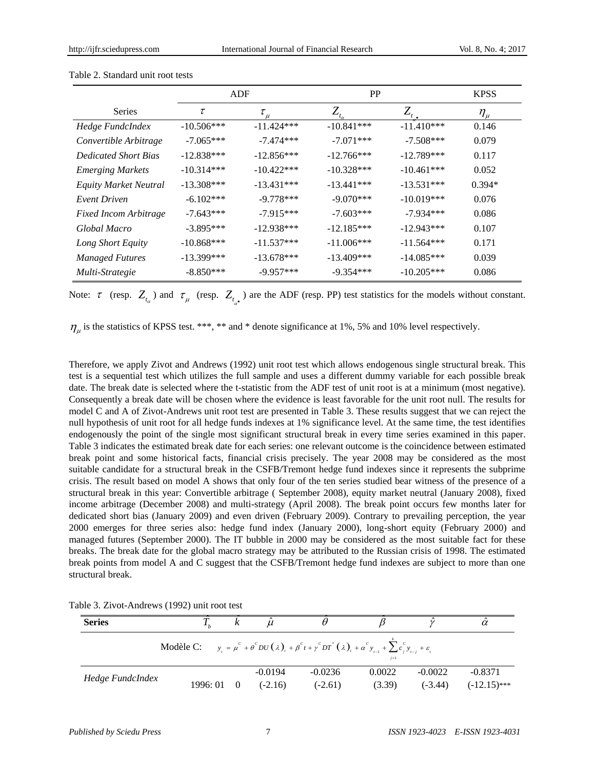|                              |                        | ADF          | <b>PP</b>           |                                | <b>KPSS</b>   |
|------------------------------|------------------------|--------------|---------------------|--------------------------------|---------------|
| <b>Series</b>                | $\tau$<br>$\tau_{\mu}$ |              | $Z_{_{t_{\alpha}}}$ | $Z_{\!\scriptscriptstyle 1}$ . | $\eta_{_\mu}$ |
| Hedge FundcIndex             | $-10.506***$           | $-11.424***$ | $-10.841***$        | $-11.410***$                   | 0.146         |
| Convertible Arbitrage        | $-7.065***$            | $-7.474***$  | $-7.071***$         | $-7.508***$                    | 0.079         |
| <b>Dedicated Short Bias</b>  | $-12.838***$           | $-12.856***$ | $-12.766***$        | $-12.789***$                   | 0.117         |
| <b>Emerging Markets</b>      | $-10.314***$           | $-10.422***$ | $-10.328***$        | $-10.461***$                   | 0.052         |
| <b>Equity Market Neutral</b> | $-13.308***$           | $-13.431***$ | $-13.441***$        | $-13.531***$                   | $0.394*$      |
| Event Driven                 | $-6.102***$            | $-9.778***$  | $-9.070***$         | $-10.019***$                   | 0.076         |
| <b>Fixed Incom Arbitrage</b> | $-7.643***$            | $-7.915***$  | $-7.603***$         | $-7.934***$                    | 0.086         |
| Global Macro                 | $-3.895***$            | $-12.938***$ | $-12.185***$        | $-12.943***$                   | 0.107         |
| Long Short Equity            | $-10.868***$           | $-11.537***$ | $-11.006***$        | $-11.564***$                   | 0.171         |
| <b>Managed Futures</b>       | $-13.399***$           | $-13.678***$ | $-13.409***$        | $-14.085***$                   | 0.039         |
| Multi-Strategie              | $-8.850***$            | $-9.957***$  | $-9.354***$         | $-10.205***$                   | 0.086         |

#### Table 2. Standard unit root tests

Note:  $\tau$  (resp.  $Z_{t_{\alpha}}$ ) and  $\tau_{\mu}$  (resp.  $Z_{t_{\alpha}}$ ) are the ADF (resp. PP) test statistics for the models without constant.

 $\eta_{\mu}$  is the statistics of KPSS test. \*\*\*, \*\* and \* denote significance at 1%, 5% and 10% level respectively.

α

Therefore, we apply Zivot and Andrews (1992) unit root test which allows endogenous single structural break. This test is a sequential test which utilizes the full sample and uses a different dummy variable for each possible break date. The break date is selected where the t-statistic from the ADF test of unit root is at a minimum (most negative). Consequently a break date will be chosen where the evidence is least favorable for the unit root null. The results for model C and A of Zivot-Andrews unit root test are presented in Table 3. These results suggest that we can reject the null hypothesis of unit root for all hedge funds indexes at 1% significance level. At the same time, the test identifies endogenously the point of the single most significant structural break in every time series examined in this paper. Table 3 indicates the estimated break date for each series: one relevant outcome is the coincidence between estimated break point and some historical facts, financial crisis precisely. The year 2008 may be considered as the most suitable candidate for a structural break in the CSFB/Tremont hedge fund indexes since it represents the subprime crisis. The result based on model A shows that only four of the ten series studied bear witness of the presence of a structural break in this year: Convertible arbitrage ( September 2008), equity market neutral (January 2008), fixed income arbitrage (December 2008) and multi-strategy (April 2008). The break point occurs few months later for dedicated short bias (January 2009) and even driven (February 2009). Contrary to prevailing perception, the year 2000 emerges for three series also: hedge fund index (January 2000), long-short equity (February 2000) and managed futures (September 2000). The IT bubble in 2000 may be considered as the most suitable fact for these breaks. The break date for the global macro strategy may be attributed to the Russian crisis of 1998. The estimated break points from model A and C suggest that the CSFB/Tremont hedge fund indexes are subject to more than one structural break.

| <b>Series</b>    |          |           |                                                                                                                                                   |                  |           | $\alpha$  |
|------------------|----------|-----------|---------------------------------------------------------------------------------------------------------------------------------------------------|------------------|-----------|-----------|
|                  |          |           | Modèle C: $y_i = \mu^c + \theta^c DU(\lambda)_i + \beta^c t + \gamma^c DT^*(\lambda)_i + \alpha^c y_{i-1} + \sum_{i=1}^c y_{i-1} + \varepsilon_i$ | $j=1$            |           |           |
| Hedge FundcIndex | 1996: 01 | $-0.0194$ | $-0.0236$                                                                                                                                         | 0.0022<br>(3.39) | $-0.0022$ | $-0.8371$ |

Table 3. Zivot-Andrews (1992) unit root test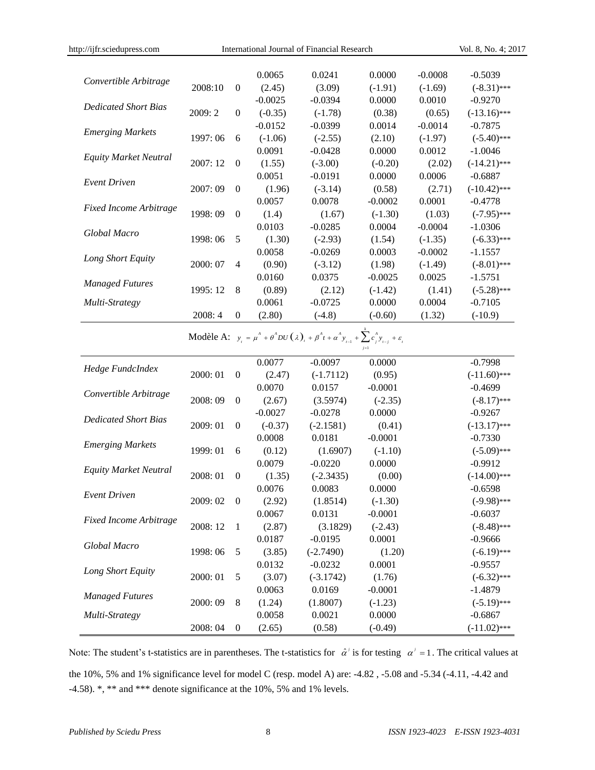|                               |          |                  | 0.0065           | 0.0241                                                                                                                                         | 0.0000                 | $-0.0008$ | $-0.5039$      |
|-------------------------------|----------|------------------|------------------|------------------------------------------------------------------------------------------------------------------------------------------------|------------------------|-----------|----------------|
| Convertible Arbitrage         | 2008:10  | $\boldsymbol{0}$ | (2.45)           | (3.09)                                                                                                                                         | $(-1.91)$              | $(-1.69)$ | $(-8.31)$ ***  |
|                               |          |                  | $-0.0025$        | $-0.0394$                                                                                                                                      | 0.0000                 | 0.0010    | $-0.9270$      |
| <b>Dedicated Short Bias</b>   | 2009: 2  | $\boldsymbol{0}$ | $(-0.35)$        | $(-1.78)$                                                                                                                                      | (0.38)                 | (0.65)    | $(-13.16)$ *** |
|                               |          |                  | $-0.0152$        | $-0.0399$                                                                                                                                      | 0.0014                 | $-0.0014$ | $-0.7875$      |
| <b>Emerging Markets</b>       | 1997: 06 | 6                | $(-1.06)$        | $(-2.55)$                                                                                                                                      | (2.10)                 | $(-1.97)$ | $(-5.40)$ ***  |
|                               |          |                  | 0.0091           | $-0.0428$                                                                                                                                      | 0.0000                 | 0.0012    | $-1.0046$      |
| <b>Equity Market Neutral</b>  | 2007: 12 | $\theta$         | (1.55)           | $(-3.00)$                                                                                                                                      | $(-0.20)$              | (2.02)    | $(-14.21)$ *** |
|                               |          |                  | 0.0051           | $-0.0191$                                                                                                                                      | 0.0000                 | 0.0006    | $-0.6887$      |
| <b>Event Driven</b>           | 2007:09  | $\theta$         | (1.96)           | $(-3.14)$                                                                                                                                      | (0.58)                 | (2.71)    | $(-10.42)$ *** |
|                               |          |                  | 0.0057           | 0.0078                                                                                                                                         | $-0.0002$              | 0.0001    | $-0.4778$      |
| <b>Fixed Income Arbitrage</b> | 1998:09  | $\boldsymbol{0}$ | (1.4)            | (1.67)                                                                                                                                         | $(-1.30)$              | (1.03)    | $(-7.95)$ ***  |
|                               |          |                  | 0.0103           | $-0.0285$                                                                                                                                      | 0.0004                 | $-0.0004$ | $-1.0306$      |
| Global Macro                  | 1998:06  | 5                | (1.30)           | $(-2.93)$                                                                                                                                      | (1.54)                 | $(-1.35)$ | $(-6.33)$ ***  |
|                               |          |                  | 0.0058           | $-0.0269$                                                                                                                                      | 0.0003                 | $-0.0002$ | $-1.1557$      |
| Long Short Equity             | 2000: 07 | $\overline{4}$   | (0.90)           | $(-3.12)$                                                                                                                                      | (1.98)                 | $(-1.49)$ | $(-8.01)$ ***  |
|                               |          |                  | 0.0160           | 0.0375                                                                                                                                         | $-0.0025$              | 0.0025    | $-1.5751$      |
| <b>Managed Futures</b>        | 1995: 12 | $\,8\,$          | (0.89)           | (2.12)                                                                                                                                         | $(-1.42)$              | (1.41)    | $(-5.28)$ ***  |
| Multi-Strategy                |          |                  | 0.0061           | $-0.0725$                                                                                                                                      | 0.0000                 | 0.0004    | $-0.7105$      |
|                               | 2008:4   | $\mathbf{0}$     | (2.80)           | $(-4.8)$                                                                                                                                       | $(-0.60)$              | (1.32)    | $(-10.9)$      |
|                               |          |                  | 0.0077           | Modèle A: $y_t = \mu^A + \theta^A D U(\lambda)_{t} + \beta^A t + \alpha^A y_{t-1} + \sum_{i=1}^{n} c_i^A y_{t-i} + \varepsilon_t$<br>$-0.0097$ | 0.0000                 |           | $-0.7998$      |
| Hedge FundcIndex              | 2000: 01 | $\boldsymbol{0}$ | (2.47)           | $(-1.7112)$                                                                                                                                    | (0.95)                 |           | $(-11.60)$ *** |
|                               |          |                  | 0.0070           | 0.0157                                                                                                                                         | $-0.0001$              |           | $-0.4699$      |
| Convertible Arbitrage         | 2008:09  | $\boldsymbol{0}$ | (2.67)           | (3.5974)                                                                                                                                       | $(-2.35)$              |           | $(-8.17)$ ***  |
|                               |          |                  | $-0.0027$        | $-0.0278$                                                                                                                                      | 0.0000                 |           | $-0.9267$      |
| <b>Dedicated Short Bias</b>   | 2009: 01 | $\boldsymbol{0}$ | $(-0.37)$        | $(-2.1581)$                                                                                                                                    | (0.41)                 |           | $(-13.17)$ *** |
|                               |          |                  | 0.0008           | 0.0181                                                                                                                                         | $-0.0001$              |           | $-0.7330$      |
| <b>Emerging Markets</b>       | 1999: 01 | 6                | (0.12)           | (1.6907)                                                                                                                                       | $(-1.10)$              |           | $(-5.09)$ ***  |
|                               |          |                  | 0.0079           | $-0.0220$                                                                                                                                      | 0.0000                 |           | $-0.9912$      |
| <b>Equity Market Neutral</b>  | 2008: 01 | $\boldsymbol{0}$ | (1.35)           | $(-2.3435)$                                                                                                                                    | (0.00)                 |           | $(-14.00)$ *** |
|                               |          |                  | 0.0076           | 0.0083                                                                                                                                         | 0.0000                 |           | $-0.6598$      |
| <b>Event Driven</b>           | 2009:02  | $\theta$         |                  |                                                                                                                                                |                        |           | $(-9.98)$ ***  |
|                               |          |                  | (2.92)<br>0.0067 | (1.8514)<br>0.0131                                                                                                                             | $(-1.30)$<br>$-0.0001$ |           | $-0.6037$      |
| <b>Fixed Income Arbitrage</b> | 2008: 12 | 1                |                  |                                                                                                                                                | $(-2.43)$              |           | $(-8.48)$ ***  |
|                               |          |                  | (2.87)<br>0.0187 | (3.1829)<br>$-0.0195$                                                                                                                          |                        |           |                |
| Global Macro                  |          |                  |                  |                                                                                                                                                | 0.0001                 |           | $-0.9666$      |
|                               | 1998:06  | 5                | (3.85)           | $(-2.7490)$                                                                                                                                    | (1.20)                 |           | $(-6.19)$ ***  |
| Long Short Equity             |          |                  | 0.0132           | $-0.0232$                                                                                                                                      | 0.0001                 |           | $-0.9557$      |
|                               | 2000: 01 | $\mathfrak s$    | (3.07)           | $(-3.1742)$                                                                                                                                    | (1.76)                 |           | $(-6.32)$ ***  |
| <b>Managed Futures</b>        |          |                  | 0.0063           | 0.0169                                                                                                                                         | $-0.0001$              |           | $-1.4879$      |
|                               | 2000: 09 | $8\,$            | (1.24)           | (1.8007)                                                                                                                                       | $(-1.23)$              |           | $(-5.19)$ ***  |
| Multi-Strategy                |          |                  | 0.0058           | 0.0021                                                                                                                                         | 0.0000                 |           | $-0.6867$      |
|                               | 2008:04  | $\boldsymbol{0}$ | (2.65)           | (0.58)                                                                                                                                         | $(-0.49)$              |           | $(-11.02)$ *** |

http://ijfr.sciedupress.com International Journal of Financial Research Vol. 8, No. 4; 2017

Note: The student's t-statistics are in parentheses. The t-statistics for  $\hat{\alpha}'$  is for testing  $\alpha' = 1$ . The critical values at the 10%, 5% and 1% significance level for model C (resp. model A) are: -4.82 , -5.08 and -5.34 (-4.11, -4.42 and -4.58).  $*$ ,  $*$  and  $*$  \*\* denote significance at the 10%, 5% and 1% levels.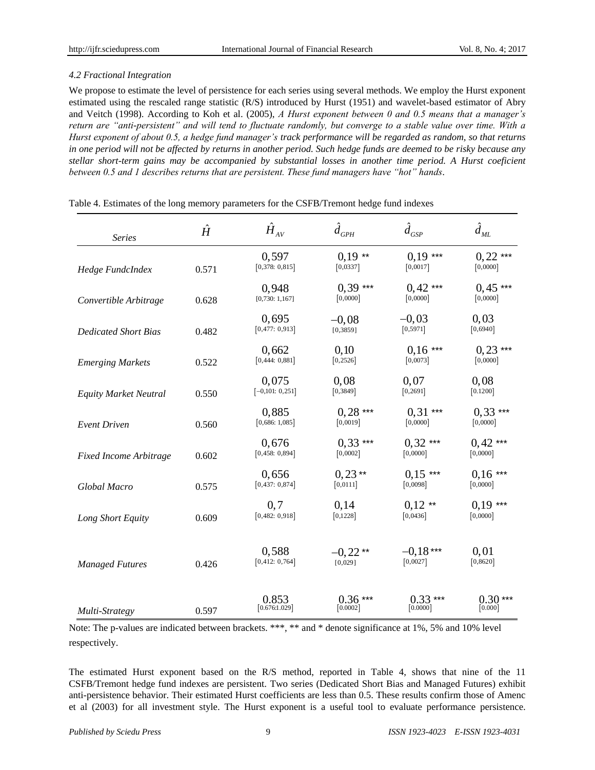## *4.2 Fractional Integration*

We propose to estimate the level of persistence for each series using several methods. We employ the Hurst exponent estimated using the rescaled range statistic (R/S) introduced by Hurst (1951) and wavelet-based estimator of Abry and Veitch (1998). According to Koh et al. (2005), *A Hurst exponent between 0 and 0.5 means that a manager's return are "anti-persistent" and will tend to fluctuate randomly, but converge to a stable value over time. With a Hurst exponent of about 0.5, a hedge fund manager's track performance will be regarded as random, so that returns in one period will not be affected by returns in another period. Such hedge funds are deemed to be risky because any stellar short-term gains may be accompanied by substantial losses in another time period. A Hurst coeficient between 0.5 and 1 describes returns that are persistent. These fund managers have "hot" hands*.

| <b>Series</b>                | $\hat{H}$ | $\hat{H}_{{\scriptscriptstyle AV}}$ | $\hat{d}_{\textit{GPH}}$ | $\hat{d}_{GSP}$        | $\hat{d}_{\rm\scriptscriptstyle ML}$ |
|------------------------------|-----------|-------------------------------------|--------------------------|------------------------|--------------------------------------|
| Hedge FundcIndex             | 0.571     | 0,597<br>[0,378:0,815]              | $0.19**$<br>[0,0337]     | $0,19***$<br>[0,0017]  | $0,22$ ***<br>[0,0000]               |
| Convertible Arbitrage        | 0.628     | 0,948<br>[0,730:1,167]              | $0.39***$<br>[0,0000]    | $0,42***$<br>[0,0000]  | $0,45***$<br>[0,0000]                |
| <b>Dedicated Short Bias</b>  | 0.482     | 0,695<br>[0,477:0,913]              | $-0.08$<br>[0, 3859]     | $-0,03$<br>[0, 5971]   | 0,03<br>[0,6940]                     |
| <b>Emerging Markets</b>      | 0.522     | 0,662<br>[0,444:0,881]              | 0,10<br>[0, 2526]        | $0.16***$<br>[0,0073]  | $0,23$ ***<br>[0,0000]               |
| <b>Equity Market Neutral</b> | 0.550     | 0,075<br>$[-0,101:0,251]$           | 0,08<br>[0, 3849]        | 0,07<br>[0, 2691]      | 0,08<br>[0.1200]                     |
| <b>Event Driven</b>          | 0.560     | 0,885<br>[0,686:1,085]              | $0,28***$<br>[0,0019]    | $0.31***$<br>[0,0000]  | $0.33***$<br>[0,0000]                |
| Fixed Income Arbitrage       | 0.602     | 0,676<br>[0,458:0,894]              | $0.33***$<br>[0,0002]    | $0,32***$<br>[0,0000]  | $0,42$ ***<br>[0,0000]               |
| Global Macro                 | 0.575     | 0,656<br>[0,437:0,874]              | $0,23**$<br>[0,0111]     | $0.15***$<br>[0,0098]  | $0.16***$<br>[0,0000]                |
| Long Short Equity            | 0.609     | 0, 7<br>[0,482:0,918]               | 0,14<br>[0,1228]         | $0,12$ **<br>[0,0436]  | $0.19***$<br>[0,0000]                |
| <b>Managed Futures</b>       | 0.426     | 0.588<br>[0,412:0,764]              | $-0.22**$<br>[0,029]     | $-0.18***$<br>[0,0027] | 0.01<br>[0, 8620]                    |
| Multi-Strategy               | 0.597     | 0.853<br>[0.676:1.029]              | $0.36***$<br>[0.0002]    | $0.33***$<br>[0.0000]  | $0.30***$<br>[0.000]                 |

## Table 4. Estimates of the long memory parameters for the CSFB/Tremont hedge fund indexes

Note: The p-values are indicated between brackets. \*\*\*, \*\* and \* denote significance at 1%, 5% and 10% level respectively.

The estimated Hurst exponent based on the R/S method, reported in Table 4, shows that nine of the 11 CSFB/Tremont hedge fund indexes are persistent. Two series (Dedicated Short Bias and Managed Futures) exhibit anti-persistence behavior. Their estimated Hurst coefficients are less than 0.5. These results confirm those of Amenc et al (2003) for all investment style. The Hurst exponent is a useful tool to evaluate performance persistence.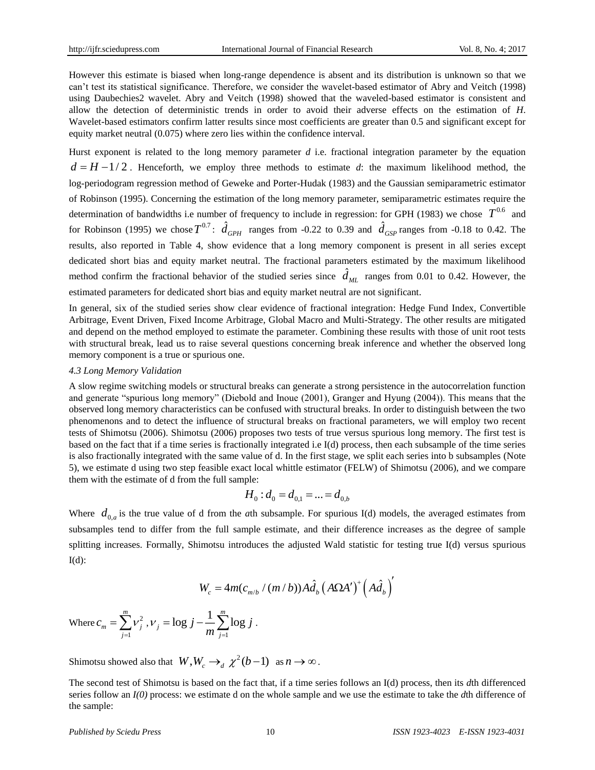However this estimate is biased when long-range dependence is absent and its distribution is unknown so that we can't test its statistical significance. Therefore, we consider the wavelet-based estimator of Abry and Veitch (1998) using Daubechies2 wavelet. Abry and Veitch (1998) showed that the waveled-based estimator is consistent and allow the detection of deterministic trends in order to avoid their adverse effects on the estimation of *H*. Wavelet-based estimators confirm latter results since most coefficients are greater than 0.5 and significant except for equity market neutral (0.075) where zero lies within the confidence interval.

Hurst exponent is related to the long memory parameter *d* i.e. fractional integration parameter by the equation  $d = H - 1/2$ . Henceforth, we employ three methods to estimate *d*: the maximum likelihood method, the log-periodogram regression method of Geweke and Porter-Hudak (1983) and the Gaussian semiparametric estimator of Robinson (1995). Concerning the estimation of the long memory parameter, semiparametric estimates require the determination of bandwidths i.e number of frequency to include in regression: for GPH (1983) we chose  $T^{0.6}$  and for Robinson (1995) we chose  $T^{0.7}$ :  $\hat{d}_{GPH}$  ranges from -0.22 to 0.39 and  $\hat{d}_{GSP}$  ranges from -0.18 to 0.42. The results, also reported in Table 4, show evidence that a long memory component is present in all series except dedicated short bias and equity market neutral. The fractional parameters estimated by the maximum likelihood method confirm the fractional behavior of the studied series since  $\hat{d}_{ML}$  ranges from 0.01 to 0.42. However, the estimated parameters for dedicated short bias and equity market neutral are not significant.

In general, six of the studied series show clear evidence of fractional integration: Hedge Fund Index, Convertible Arbitrage, Event Driven, Fixed Income Arbitrage, Global Macro and Multi-Strategy. The other results are mitigated and depend on the method employed to estimate the parameter. Combining these results with those of unit root tests with structural break, lead us to raise several questions concerning break inference and whether the observed long memory component is a true or spurious one.

## *4.3 Long Memory Validation*

A slow regime switching models or structural breaks can generate a strong persistence in the autocorrelation function and generate "spurious long memory" (Diebold and Inoue (2001), Granger and Hyung (2004)). This means that the observed long memory characteristics can be confused with structural breaks. In order to distinguish between the two phenomenons and to detect the influence of structural breaks on fractional parameters, we will employ two recent tests of Shimotsu (2006). Shimotsu (2006) proposes two tests of true versus spurious long memory. The first test is based on the fact that if a time series is fractionally integrated i.e I(d) process, then each subsample of the time series is also fractionally integrated with the same value of d. In the first stage, we split each series into b subsamples (Note 5), we estimate d using two step feasible exact local whittle estimator (FELW) of Shimotsu (2006), and we compare them with the estimate of d from the full sample:

$$
H_0: d_0 = d_{0,1} = ... = d_{0,b}
$$

Where  $d_{0,a}$  is the true value of d from the *a*th subsample. For spurious I(d) models, the averaged estimates from subsamples tend to differ from the full sample estimate, and their difference increases as the degree of sample splitting increases. Formally, Shimotsu introduces the adjusted Wald statistic for testing true I(d) versus spurious  $I(d)$ :

$$
W_c = 4m(c_{m/b} / (m/b))A\hat{d}_b (A\Omega A')^+ (A\hat{d}_b)
$$

Where  $c_m = \sum v_i^2$ 1 *m j j*  $c = \lambda$   $\nu$  $=\sum_{j=1}^{n}V_j^2$ ,  $V_j=\log j-\frac{1}{m}\sum_{j=1}^{n}$  $\log j - \frac{1}{n} \sum_{i=1}^{m} \log j$ *j j*  $j - \frac{1}{m} \sum_{i=1}^m \log j$ V  $=\log j - \frac{1}{m}\sum \log j$ .

Shimotsu showed also that  $W, W_c \to_d \chi^2(b-1)$  as  $n \to \infty$ .

The second test of Shimotsu is based on the fact that, if a time series follows an I(d) process, then its *d*th differenced series follow an *I(0)* process: we estimate d on the whole sample and we use the estimate to take the *d*th difference of the sample: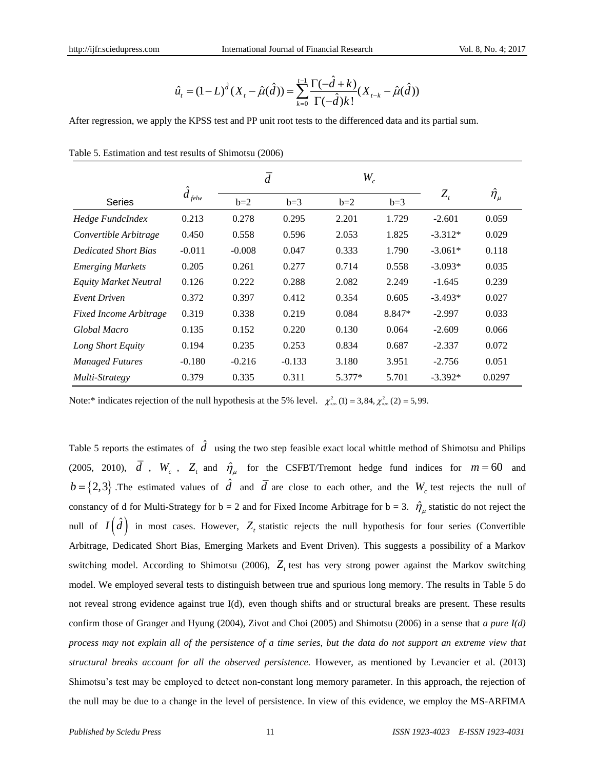$$
\hat{u}_t = (1 - L)^{\hat{d}} (X_t - \hat{\mu}(\hat{d})) = \sum_{k=0}^{t-1} \frac{\Gamma(-\hat{d} + k)}{\Gamma(-\hat{d})k!} (X_{t-k} - \hat{\mu}(\hat{d}))
$$

After regression, we apply the KPSS test and PP unit root tests to the differenced data and its partial sum.

|                               |                          | $\overline{d}$ |          | $W_{\!c}^{}$ |        |                            |                     |
|-------------------------------|--------------------------|----------------|----------|--------------|--------|----------------------------|---------------------|
| <b>Series</b>                 | $\boldsymbol{d}$<br>felw | $b=2$          | $b=3$    | $b=2$        | $b=3$  | $Z_{\scriptscriptstyle t}$ | $\hat{\eta}_{_\mu}$ |
| Hedge FundcIndex              | 0.213                    | 0.278          | 0.295    | 2.201        | 1.729  | $-2.601$                   | 0.059               |
| Convertible Arbitrage         | 0.450                    | 0.558          | 0.596    | 2.053        | 1.825  | $-3.312*$                  | 0.029               |
| <b>Dedicated Short Bias</b>   | $-0.011$                 | $-0.008$       | 0.047    | 0.333        | 1.790  | $-3.061*$                  | 0.118               |
| <b>Emerging Markets</b>       | 0.205                    | 0.261          | 0.277    | 0.714        | 0.558  | $-3.093*$                  | 0.035               |
| Equity Market Neutral         | 0.126                    | 0.222          | 0.288    | 2.082        | 2.249  | $-1.645$                   | 0.239               |
| <b>Event Driven</b>           | 0.372                    | 0.397          | 0.412    | 0.354        | 0.605  | $-3.493*$                  | 0.027               |
| <b>Fixed Income Arbitrage</b> | 0.319                    | 0.338          | 0.219    | 0.084        | 8.847* | $-2.997$                   | 0.033               |
| Global Macro                  | 0.135                    | 0.152          | 0.220    | 0.130        | 0.064  | $-2.609$                   | 0.066               |
| Long Short Equity             | 0.194                    | 0.235          | 0.253    | 0.834        | 0.687  | $-2.337$                   | 0.072               |
| <b>Managed Futures</b>        | $-0.180$                 | $-0.216$       | $-0.133$ | 3.180        | 3.951  | $-2.756$                   | 0.051               |
| Multi-Strategy                | 0.379                    | 0.335          | 0.311    | 5.377*       | 5.701  | $-3.392*$                  | 0.0297              |

|  | Table 5. Estimation and test results of Shimotsu (2006) |  |  |  |  |  |
|--|---------------------------------------------------------|--|--|--|--|--|
|--|---------------------------------------------------------|--|--|--|--|--|

Note:\* indicates rejection of the null hypothesis at the 5% level.  $\chi^2_{\text{gas}}(1) = 3,84, \chi^2_{\text{gas}}(2) = 5,99$ .

Table 5 reports the estimates of  $\hat{d}$  using the two step feasible exact local whittle method of Shimotsu and Philips (2005, 2010),  $d$ ,  $W_c$ ,  $Z_t$  and  $\hat{\eta}_{\mu}$  for the CSFBT/Tremont hedge fund indices for  $m = 60$  and  $b = \{2,3\}$ . The estimated values of  $\hat{d}$  and  $\overline{d}$  are close to each other, and the  $W_c$  test rejects the null of constancy of d for Multi-Strategy for  $b = 2$  and for Fixed Income Arbitrage for  $b = 3$ .  $\hat{\eta}_{\mu}$  statistic do not reject the null of  $I(\hat{d})$  in most cases. However,  $Z_t$  statistic rejects the null hypothesis for four series (Convertible Arbitrage, Dedicated Short Bias, Emerging Markets and Event Driven). This suggests a possibility of a Markov switching model. According to Shimotsu (2006),  $Z_t$  test has very strong power against the Markov switching model. We employed several tests to distinguish between true and spurious long memory. The results in Table 5 do not reveal strong evidence against true I(d), even though shifts and or structural breaks are present. These results confirm those of Granger and Hyung (2004), Zivot and Choi (2005) and Shimotsu (2006) in a sense that *a pure I(d) process may not explain all of the persistence of a time series, but the data do not support an extreme view that structural breaks account for all the observed persistence.* However, as mentioned by Levancier et al. (2013) Shimotsu's test may be employed to detect non-constant long memory parameter. In this approach, the rejection of the null may be due to a change in the level of persistence. In view of this evidence, we employ the MS-ARFIMA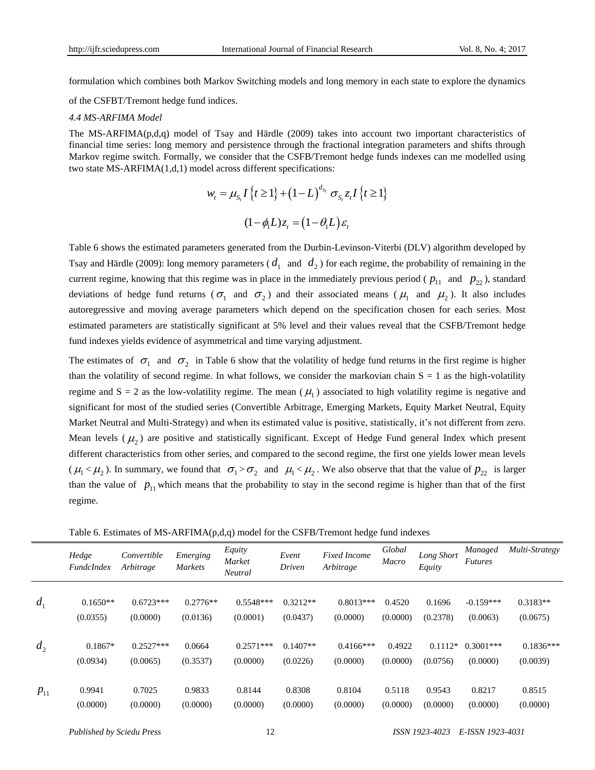formulation which combines both Markov Switching models and long memory in each state to explore the dynamics

of the CSFBT/Tremont hedge fund indices.

#### *4.4 MS-ARFIMA Model*

The MS-ARFIMA(p,d,q) model of Tsay and Härdle (2009) takes into account two important characteristics of financial time series: long memory and persistence through the fractional integration parameters and shifts through Markov regime switch. Formally, we consider that the CSFB/Tremont hedge funds indexes can me modelled using two state MS-ARFIMA(1,d,1) model across different specifications:

$$
w_t = \mu_{S_t} I \{t \ge 1\} + (1 - L)^{d_{S_t}} \sigma_{S_t} z_t I \{t \ge 1\}
$$

$$
(1 - \phi_t L) z_t = (1 - \theta_t L) \varepsilon_t
$$

Table 6 shows the estimated parameters generated from the Durbin-Levinson-Viterbi (DLV) algorithm developed by Tsay and Härdle (2009): long memory parameters ( $d_1$  and  $d_2$ ) for each regime, the probability of remaining in the current regime, knowing that this regime was in place in the immediately previous period ( $p_{11}$  and  $p_{22}$ ), standard deviations of hedge fund returns ( $\sigma_1$  and  $\sigma_2$ ) and their associated means ( $\mu_1$  and  $\mu_2$ ). It also includes autoregressive and moving average parameters which depend on the specification chosen for each series. Most estimated parameters are statistically significant at 5% level and their values reveal that the CSFB/Tremont hedge fund indexes yields evidence of asymmetrical and time varying adjustment.

The estimates of  $\sigma_1$  and  $\sigma_2$  in Table 6 show that the volatility of hedge fund returns in the first regime is higher than the volatility of second regime. In what follows, we consider the markovian chain  $S = 1$  as the high-volatility regime and  $S = 2$  as the low-volatility regime. The mean ( $\mu_1$ ) associated to high volatility regime is negative and significant for most of the studied series (Convertible Arbitrage, Emerging Markets, Equity Market Neutral, Equity Market Neutral and Multi-Strategy) and when its estimated value is positive, statistically, it's not different from zero. Mean levels  $(\mu_2)$  are positive and statistically significant. Except of Hedge Fund general Index which present different characteristics from other series, and compared to the second regime, the first one yields lower mean levels  $(\mu_1 < \mu_2)$ . In summary, we found that  $\sigma_1 > \sigma_2$  and  $\mu_1 < \mu_2$ . We also observe that that the value of  $p_{22}$  is larger than the value of  $p_{11}$  which means that the probability to stay in the second regime is higher than that of the first regime.

Table 6. Estimates of  $MS-ARFIMA(p,d,q)$  model for the CSFB/Tremont hedge fund indexes

|          | Hedge<br><b>FundcIndex</b> | Convertible<br>Arbitrage | Emerging<br><b>Markets</b> | Equity<br>Market<br>Neutral | Event<br>Driven | <b>Fixed Income</b><br>Arbitrage | Global<br>Macro | Long Short<br>Equity | Managed<br><b>Futures</b> | Multi-Strategy |
|----------|----------------------------|--------------------------|----------------------------|-----------------------------|-----------------|----------------------------------|-----------------|----------------------|---------------------------|----------------|
| $d_1$    | $0.1650**$                 | $0.6723***$              | $0.2776**$                 | $0.5548***$                 | $0.3212**$      | $0.8013***$                      | 0.4520          | 0.1696               | $-0.159***$               | $0.3183**$     |
|          | (0.0355)                   | (0.0000)                 | (0.0136)                   | (0.0001)                    | (0.0437)        | (0.0000)                         | (0.0000)        | (0.2378)             | (0.0063)                  | (0.0675)       |
| $d_2$    | $0.1867*$                  | $0.2527***$              | 0.0664                     | $0.2571***$                 | $0.1407**$      | $0.4166$ ***                     | 0.4922          | $0.1112*$            | $0.3001***$               | $0.1836***$    |
|          | (0.0934)                   | (0.0065)                 | (0.3537)                   | (0.0000)                    | (0.0226)        | (0.0000)                         | (0.0000)        | (0.0756)             | (0.0000)                  | (0.0039)       |
| $p_{11}$ | 0.9941                     | 0.7025                   | 0.9833                     | 0.8144                      | 0.8308          | 0.8104                           | 0.5118          | 0.9543               | 0.8217                    | 0.8515         |
|          | (0.0000)                   | (0.0000)                 | (0.0000)                   | (0.0000)                    | (0.0000)        | (0.0000)                         | (0.0000)        | (0.0000)             | (0.0000)                  | (0.0000)       |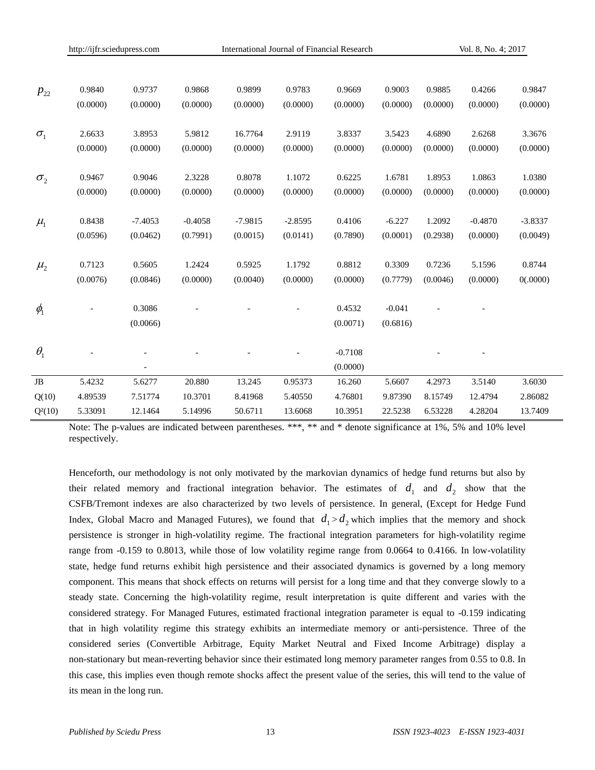|                     | http://ijfr.sciedupress.com |           |           | International Journal of Financial Research |           |           |          | Vol. 8, No. 4; 2017 |           |           |
|---------------------|-----------------------------|-----------|-----------|---------------------------------------------|-----------|-----------|----------|---------------------|-----------|-----------|
|                     |                             |           |           |                                             |           |           |          |                     |           |           |
| $P_{22}$            | 0.9840                      | 0.9737    | 0.9868    | 0.9899                                      | 0.9783    | 0.9669    | 0.9003   | 0.9885              | 0.4266    | 0.9847    |
|                     | (0.0000)                    | (0.0000)  | (0.0000)  | (0.0000)                                    | (0.0000)  | (0.0000)  | (0.0000) | (0.0000)            | (0.0000)  | (0.0000)  |
| $\sigma_{1}$        | 2.6633                      | 3.8953    | 5.9812    | 16.7764                                     | 2.9119    | 3.8337    | 3.5423   | 4.6890              | 2.6268    | 3.3676    |
|                     | (0.0000)                    | (0.0000)  | (0.0000)  | (0.0000)                                    | (0.0000)  | (0.0000)  | (0.0000) | (0.0000)            | (0.0000)  | (0.0000)  |
| $\sigma_{2}$        | 0.9467                      | 0.9046    | 2.3228    | 0.8078                                      | 1.1072    | 0.6225    | 1.6781   | 1.8953              | 1.0863    | 1.0380    |
|                     | (0.0000)                    | (0.0000)  | (0.0000)  | (0.0000)                                    | (0.0000)  | (0.0000)  | (0.0000) | (0.0000)            | (0.0000)  | (0.0000)  |
| $\mu_{\rm l}$       | 0.8438                      | $-7.4053$ | $-0.4058$ | $-7.9815$                                   | $-2.8595$ | 0.4106    | $-6.227$ | 1.2092              | $-0.4870$ | $-3.8337$ |
|                     | (0.0596)                    | (0.0462)  | (0.7991)  | (0.0015)                                    | (0.0141)  | (0.7890)  | (0.0001) | (0.2938)            | (0.0000)  | (0.0049)  |
| $\mu_{2}$           | 0.7123                      | 0.5605    | 1.2424    | 0.5925                                      | 1.1792    | 0.8812    | 0.3309   | 0.7236              | 5.1596    | 0.8744    |
|                     | (0.0076)                    | (0.0846)  | (0.0000)  | (0.0040)                                    | (0.0000)  | (0.0000)  | (0.7779) | (0.0046)            | (0.0000)  | 0(.0000)  |
| $\phi$ <sub>1</sub> |                             | 0.3086    |           |                                             |           | 0.4532    | $-0.041$ |                     |           |           |
|                     |                             | (0.0066)  |           |                                             |           | (0.0071)  | (0.6816) |                     |           |           |
| $\theta_{1}$        |                             |           |           |                                             |           | $-0.7108$ |          |                     |           |           |
|                     |                             |           |           |                                             |           | (0.0000)  |          |                     |           |           |
| JB                  | 5.4232                      | 5.6277    | 20.880    | 13.245                                      | 0.95373   | 16.260    | 5.6607   | 4.2973              | 3.5140    | 3.6030    |
| Q(10)               | 4.89539                     | 7.51774   | 10.3701   | 8.41968                                     | 5.40550   | 4.76801   | 9.87390  | 8.15749             | 12.4794   | 2.86082   |
| $Q^2(10)$           | 5.33091                     | 12.1464   | 5.14996   | 50.6711                                     | 13.6068   | 10.3951   | 22.5238  | 6.53228             | 4.28204   | 13.7409   |

Note: The p-values are indicated between parentheses. \*\*\*, \*\* and \* denote significance at 1%, 5% and 10% level respectively.

Henceforth, our methodology is not only motivated by the markovian dynamics of hedge fund returns but also by their related memory and fractional integration behavior. The estimates of  $d_1$  and  $d_2$  show that the CSFB/Tremont indexes are also characterized by two levels of persistence. In general, (Except for Hedge Fund Index, Global Macro and Managed Futures), we found that  $d_1 > d_2$  which implies that the memory and shock persistence is stronger in high-volatility regime. The fractional integration parameters for high-volatility regime range from -0.159 to 0.8013, while those of low volatility regime range from 0.0664 to 0.4166. In low-volatility state, hedge fund returns exhibit high persistence and their associated dynamics is governed by a long memory component. This means that shock effects on returns will persist for a long time and that they converge slowly to a steady state. Concerning the high-volatility regime, result interpretation is quite different and varies with the considered strategy. For Managed Futures, estimated fractional integration parameter is equal to -0.159 indicating that in high volatility regime this strategy exhibits an intermediate memory or anti-persistence. Three of the considered series (Convertible Arbitrage, Equity Market Neutral and Fixed Income Arbitrage) display a non-stationary but mean-reverting behavior since their estimated long memory parameter ranges from 0.55 to 0.8. In this case, this implies even though remote shocks affect the present value of the series, this will tend to the value of its mean in the long run.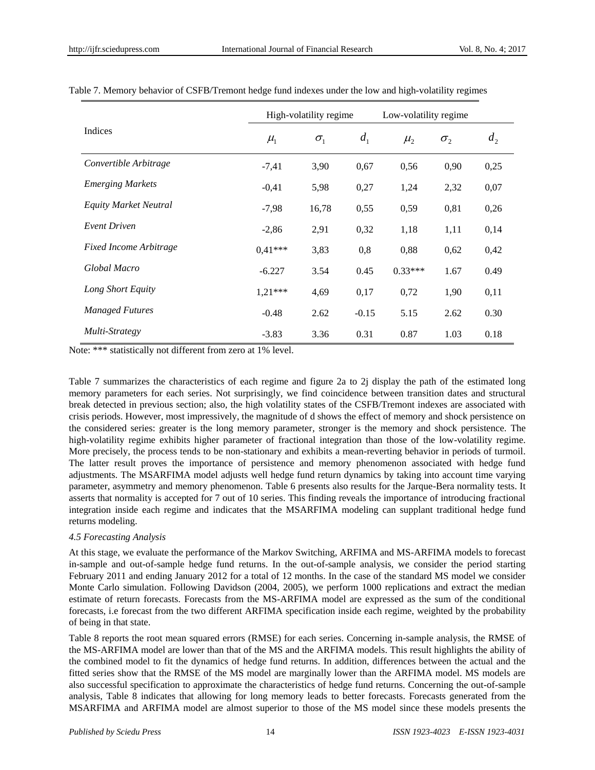|                               |               | High-volatility regime |                | Low-volatility regime |              |       |
|-------------------------------|---------------|------------------------|----------------|-----------------------|--------------|-------|
| Indices                       | $\mu_{\rm l}$ | $\sigma_{1}$           | d <sub>1</sub> | $\mu_{2}$             | $\sigma_{2}$ | $d_2$ |
| Convertible Arbitrage         | $-7,41$       | 3,90                   | 0,67           | 0,56                  | 0,90         | 0,25  |
| <b>Emerging Markets</b>       | $-0,41$       | 5,98                   | 0,27           | 1,24                  | 2,32         | 0,07  |
| Equity Market Neutral         | $-7,98$       | 16,78                  | 0,55           | 0,59                  | 0,81         | 0,26  |
| <b>Event Driven</b>           | $-2,86$       | 2,91                   | 0,32           | 1,18                  | 1,11         | 0,14  |
| <b>Fixed Income Arbitrage</b> | $0.41***$     | 3,83                   | 0,8            | 0,88                  | 0,62         | 0,42  |
| Global Macro                  | $-6.227$      | 3.54                   | 0.45           | $0.33***$             | 1.67         | 0.49  |
| Long Short Equity             | $1,21***$     | 4,69                   | 0,17           | 0,72                  | 1,90         | 0,11  |
| <b>Managed Futures</b>        | $-0.48$       | 2.62                   | $-0.15$        | 5.15                  | 2.62         | 0.30  |
| Multi-Strategy                | $-3.83$       | 3.36                   | 0.31           | 0.87                  | 1.03         | 0.18  |

Table 7. Memory behavior of CSFB/Tremont hedge fund indexes under the low and high-volatility regimes

Note: \*\*\* statistically not different from zero at 1% level.

Table 7 summarizes the characteristics of each regime and figure 2a to 2j display the path of the estimated long memory parameters for each series. Not surprisingly, we find coincidence between transition dates and structural break detected in previous section; also, the high volatility states of the CSFB/Tremont indexes are associated with crisis periods. However, most impressively, the magnitude of d shows the effect of memory and shock persistence on the considered series: greater is the long memory parameter, stronger is the memory and shock persistence. The high-volatility regime exhibits higher parameter of fractional integration than those of the low-volatility regime. More precisely, the process tends to be non-stationary and exhibits a mean-reverting behavior in periods of turmoil. The latter result proves the importance of persistence and memory phenomenon associated with hedge fund adjustments. The MSARFIMA model adjusts well hedge fund return dynamics by taking into account time varying parameter, asymmetry and memory phenomenon. Table 6 presents also results for the Jarque-Bera normality tests. It asserts that normality is accepted for 7 out of 10 series. This finding reveals the importance of introducing fractional integration inside each regime and indicates that the MSARFIMA modeling can supplant traditional hedge fund returns modeling.

## *4.5 Forecasting Analysis*

At this stage, we evaluate the performance of the Markov Switching, ARFIMA and MS-ARFIMA models to forecast in-sample and out-of-sample hedge fund returns. In the out-of-sample analysis, we consider the period starting February 2011 and ending January 2012 for a total of 12 months. In the case of the standard MS model we consider Monte Carlo simulation. Following Davidson (2004, 2005), we perform 1000 replications and extract the median estimate of return forecasts. Forecasts from the MS-ARFIMA model are expressed as the sum of the conditional forecasts, i.e forecast from the two different ARFIMA specification inside each regime, weighted by the probability of being in that state.

Table 8 reports the root mean squared errors (RMSE) for each series. Concerning in-sample analysis, the RMSE of the MS-ARFIMA model are lower than that of the MS and the ARFIMA models. This result highlights the ability of the combined model to fit the dynamics of hedge fund returns. In addition, differences between the actual and the fitted series show that the RMSE of the MS model are marginally lower than the ARFIMA model. MS models are also successful specification to approximate the characteristics of hedge fund returns. Concerning the out-of-sample analysis, Table 8 indicates that allowing for long memory leads to better forecasts. Forecasts generated from the MSARFIMA and ARFIMA model are almost superior to those of the MS model since these models presents the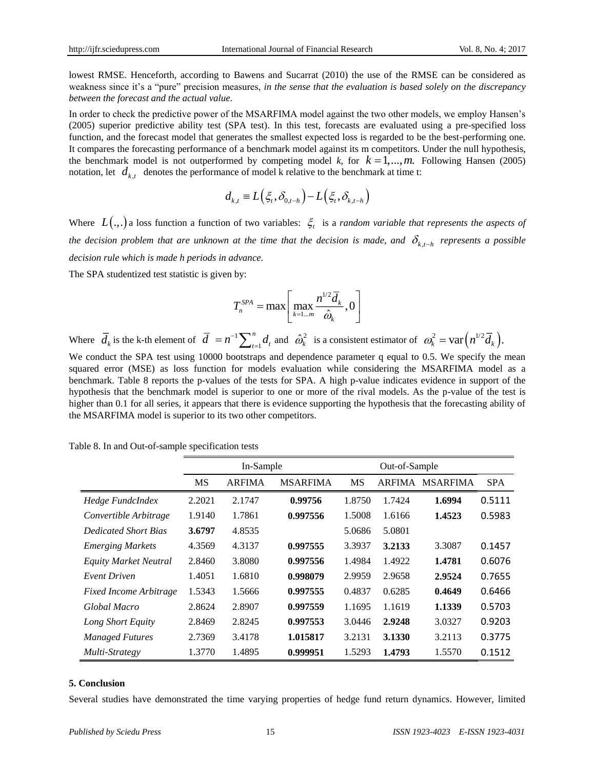lowest RMSE. Henceforth, according to Bawens and Sucarrat (2010) the use of the RMSE can be considered as weakness since it's a "pure" precision measures, *in the sense that the evaluation is based solely on the discrepancy between the forecast and the actual value.*

In order to check the predictive power of the MSARFIMA model against the two other models, we employ Hansen's (2005) superior predictive ability test (SPA test). In this test, forecasts are evaluated using a pre-specified loss function, and the forecast model that generates the smallest expected loss is regarded to be the best-performing one. It compares the forecasting performance of a benchmark model against its m competitors. Under the null hypothesis, the benchmark model is not outperformed by competing model k, for  $k = 1, \ldots, m$ . Following Hansen (2005) notation, let  $d_{k,t}$  denotes the performance of model k relative to the benchmark at time t:

$$
d_{k,t} \equiv L(\xi_t, \delta_{0,t-h}) - L(\xi_t, \delta_{k,t-h})
$$

Where  $L(.,.)$  a loss function a function of two variables:  $\xi_t$  is a *random variable that represents the aspects of* the decision problem that are unknown at the time that the decision is made, and  $\delta_{k,t-h}$  represents a possible *decision rule which is made h periods in advance.*

The SPA studentized test statistic is given by:

$$
T_n^{SPA} = \max \left[ \max_{k=1...m} \frac{n^{1/2} \overline{d}_k}{\hat{\omega}_k}, 0 \right]
$$

Where  $d_k$  is the k-th element of  $d = n^{-1}$ 1 *n*  $\overline{d}$  =  $n^{-1} \sum_{t=1}^{n} d_t$  and  $\hat{\omega}_k^2$  is a consistent estimator of  $\omega_k^2 = \text{var}(n^{1/2} \overline{d}_k)$ . We conduct the SPA test using 10000 bootstraps and dependence parameter q equal to 0.5. We specify the mean squared error (MSE) as loss function for models evaluation while considering the MSARFIMA model as a benchmark. Table 8 reports the p-values of the tests for SPA. A high p-value indicates evidence in support of the hypothesis that the benchmark model is superior to one or more of the rival models. As the p-value of the test is higher than 0.1 for all series, it appears that there is evidence supporting the hypothesis that the forecasting ability of the MSARFIMA model is superior to its two other competitors.

Table 8. In and Out-of-sample specification tests

|                               | In-Sample |        |                 | Out-of-Sample |               |                 |            |
|-------------------------------|-----------|--------|-----------------|---------------|---------------|-----------------|------------|
|                               | <b>MS</b> | ARFIMA | <b>MSARFIMA</b> | <b>MS</b>     | <b>ARFIMA</b> | <b>MSARFIMA</b> | <b>SPA</b> |
| Hedge FundcIndex              | 2.2021    | 2.1747 | 0.99756         | 1.8750        | 1.7424        | 1.6994          | 0.5111     |
| Convertible Arbitrage         | 1.9140    | 1.7861 | 0.997556        | 1.5008        | 1.6166        | 1.4523          | 0.5983     |
| <b>Dedicated Short Bias</b>   | 3.6797    | 4.8535 |                 | 5.0686        | 5.0801        |                 |            |
| <b>Emerging Markets</b>       | 4.3569    | 4.3137 | 0.997555        | 3.3937        | 3.2133        | 3.3087          | 0.1457     |
| Equity Market Neutral         | 2.8460    | 3.8080 | 0.997556        | 1.4984        | 1.4922        | 1.4781          | 0.6076     |
| <b>Event Driven</b>           | 1.4051    | 1.6810 | 0.998079        | 2.9959        | 2.9658        | 2.9524          | 0.7655     |
| <b>Fixed Income Arbitrage</b> | 1.5343    | 1.5666 | 0.997555        | 0.4837        | 0.6285        | 0.4649          | 0.6466     |
| Global Macro                  | 2.8624    | 2.8907 | 0.997559        | 1.1695        | 1.1619        | 1.1339          | 0.5703     |
| Long Short Equity             | 2.8469    | 2.8245 | 0.997553        | 3.0446        | 2.9248        | 3.0327          | 0.9203     |
| <b>Managed Futures</b>        | 2.7369    | 3.4178 | 1.015817        | 3.2131        | 3.1330        | 3.2113          | 0.3775     |
| Multi-Strategy                | 1.3770    | 1.4895 | 0.999951        | 1.5293        | 1.4793        | 1.5570          | 0.1512     |

## **5. Conclusion**

Several studies have demonstrated the time varying properties of hedge fund return dynamics. However, limited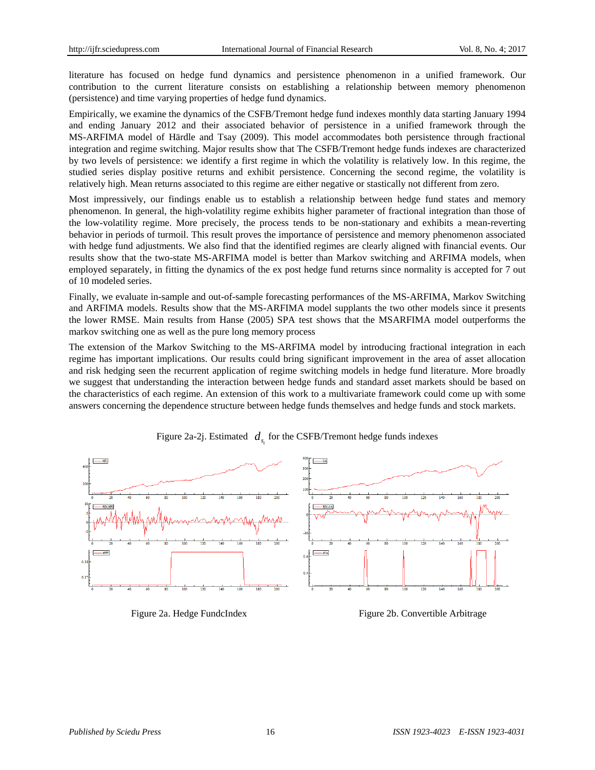literature has focused on hedge fund dynamics and persistence phenomenon in a unified framework. Our contribution to the current literature consists on establishing a relationship between memory phenomenon (persistence) and time varying properties of hedge fund dynamics.

Empirically, we examine the dynamics of the CSFB/Tremont hedge fund indexes monthly data starting January 1994 and ending January 2012 and their associated behavior of persistence in a unified framework through the MS-ARFIMA model of Härdle and Tsay (2009). This model accommodates both persistence through fractional integration and regime switching. Major results show that The CSFB/Tremont hedge funds indexes are characterized by two levels of persistence: we identify a first regime in which the volatility is relatively low. In this regime, the studied series display positive returns and exhibit persistence. Concerning the second regime, the volatility is relatively high. Mean returns associated to this regime are either negative or stastically not different from zero.

Most impressively, our findings enable us to establish a relationship between hedge fund states and memory phenomenon. In general, the high-volatility regime exhibits higher parameter of fractional integration than those of the low-volatility regime. More precisely, the process tends to be non-stationary and exhibits a mean-reverting behavior in periods of turmoil. This result proves the importance of persistence and memory phenomenon associated with hedge fund adjustments. We also find that the identified regimes are clearly aligned with financial events. Our results show that the two-state MS-ARFIMA model is better than Markov switching and ARFIMA models, when employed separately, in fitting the dynamics of the ex post hedge fund returns since normality is accepted for 7 out of 10 modeled series.

Finally, we evaluate in-sample and out-of-sample forecasting performances of the MS-ARFIMA, Markov Switching and ARFIMA models. Results show that the MS-ARFIMA model supplants the two other models since it presents the lower RMSE. Main results from Hanse (2005) SPA test shows that the MSARFIMA model outperforms the markov switching one as well as the pure long memory process

The extension of the Markov Switching to the MS-ARFIMA model by introducing fractional integration in each regime has important implications. Our results could bring significant improvement in the area of asset allocation and risk hedging seen the recurrent application of regime switching models in hedge fund literature. More broadly we suggest that understanding the interaction between hedge funds and standard asset markets should be based on the characteristics of each regime. An extension of this work to a multivariate framework could come up with some answers concerning the dependence structure between hedge funds themselves and hedge funds and stock markets.



Figure 2a-2j. Estimated  $d_{s_t}$  for the CSFB/Tremont hedge funds indexes

Figure 2a. Hedge FundcIndex Figure 2b. Convertible Arbitrage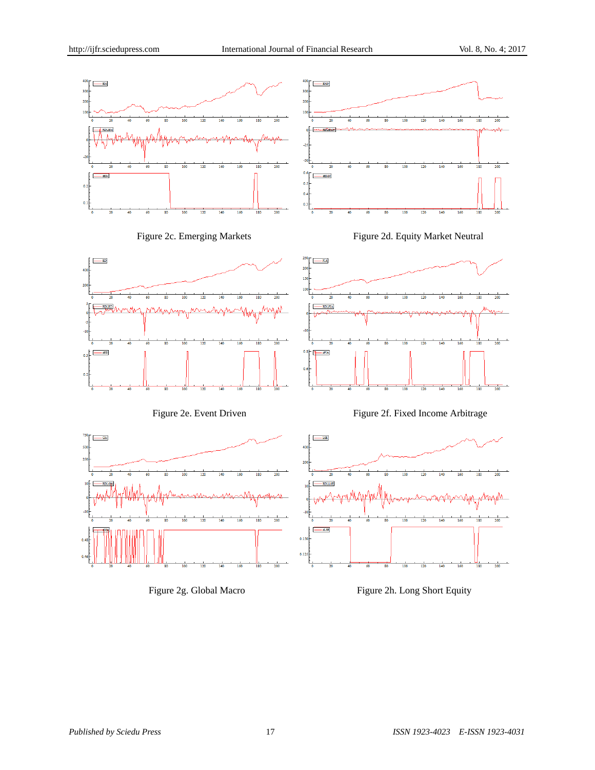

 $-$  d.SF

 $0.150$  $0.12$ 



140  $\frac{1}{160}$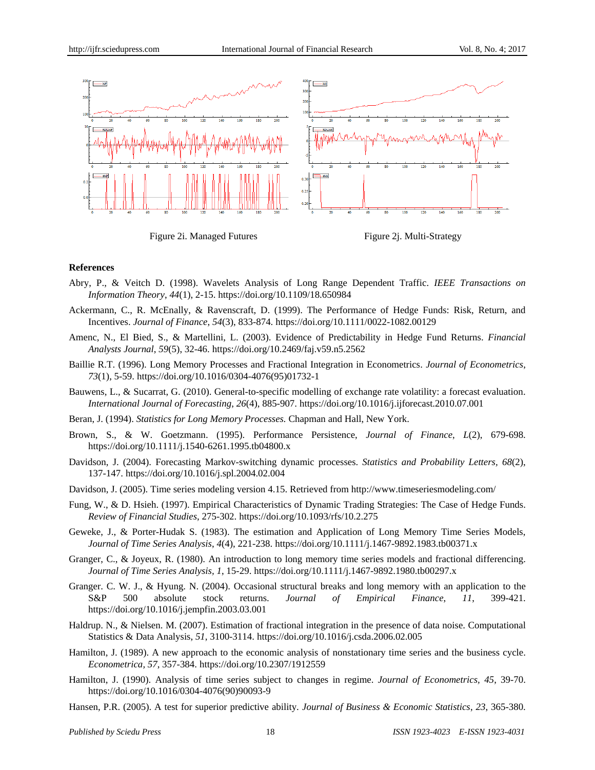

Figure 2i. Managed Futures Figure 2j. Multi-Strategy

### **References**

- Abry, P., & Veitch D. (1998). Wavelets Analysis of Long Range Dependent Traffic. *IEEE Transactions on Information Theory*, *44*(1), 2-15. https://doi.org/10.1109/18.650984
- Ackermann, C., R. McEnally, & Ravenscraft, D. (1999). The Performance of Hedge Funds: Risk, Return, and Incentives. *Journal of Finance*, *54*(3), 833-874. https://doi.org/10.1111/0022-1082.00129
- Amenc, N., El Bied, S., & Martellini, L. (2003). Evidence of Predictability in Hedge Fund Returns. *Financial Analysts Journal*, *59*(5), 32-46. https://doi.org/10.2469/faj.v59.n5.2562
- Baillie R.T. (1996). Long Memory Processes and Fractional Integration in Econometrics. *Journal of Econometrics*, *73*(1), 5-59. https://doi.org/10.1016/0304-4076(95)01732-1
- Bauwens, L., & Sucarrat, G. (2010). General-to-specific modelling of exchange rate volatility: a forecast evaluation. *International Journal of Forecasting*, *26*(4), 885-907. https://doi.org/10.1016/j.ijforecast.2010.07.001
- Beran, J. (1994). *Statistics for Long Memory Processes.* Chapman and Hall, New York.
- Brown, S., & W. Goetzmann. (1995). Performance Persistence, *Journal of Finance*, *L*(2), 679-698. https://doi.org/10.1111/j.1540-6261.1995.tb04800.x
- Davidson, J. (2004). Forecasting Markov-switching dynamic processes. *Statistics and Probability Letters, 68*(2), 137-147. https://doi.org/10.1016/j.spl.2004.02.004
- Davidson, J. (2005). Time series modeling version 4.15. Retrieved from http://www.timeseriesmodeling.com/
- Fung, W., & D. Hsieh. (1997). Empirical Characteristics of Dynamic Trading Strategies: The Case of Hedge Funds. *Review of Financial Studies*, 275-302. https://doi.org/10.1093/rfs/10.2.275
- Geweke, J., & Porter-Hudak S. (1983). The estimation and Application of Long Memory Time Series Models, *Journal of Time Series Analysis*, *4*(4), 221-238. https://doi.org/10.1111/j.1467-9892.1983.tb00371.x
- Granger, C., & Joyeux, R. (1980). An introduction to long memory time series models and fractional differencing. *Journal of Time Series Analysis, 1*, 15-29. https://doi.org/10.1111/j.1467-9892.1980.tb00297.x
- Granger. C. W. J., & Hyung. N. (2004). Occasional structural breaks and long memory with an application to the S&P 500 absolute stock returns. *Journal of Empirical Finance*, *11*, 399-421. https://doi.org/10.1016/j.jempfin.2003.03.001
- Haldrup. N., & Nielsen. M. (2007). Estimation of fractional integration in the presence of data noise. Computational Statistics & Data Analysis, *51*, 3100-3114. https://doi.org/10.1016/j.csda.2006.02.005
- Hamilton, J. (1989). A new approach to the economic analysis of nonstationary time series and the business cycle. *Econometrica, 57*, 357-384. https://doi.org/10.2307/1912559
- Hamilton, J. (1990). Analysis of time series subject to changes in regime. *Journal of Econometrics, 45*, 39-70. https://doi.org/10.1016/0304-4076(90)90093-9
- Hansen, P.R. (2005). A test for superior predictive ability. *Journal of Business & Economic Statistics*, *23*, 365-380.